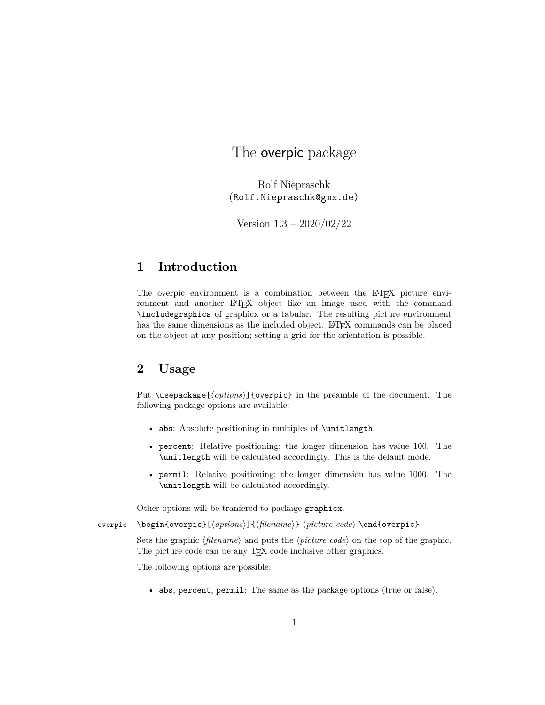# The overpic package

Rolf Niepraschk (Rolf.Niepraschk@gmx.de)

Version 1.3 – 2020/02/22

## **1 Introduction**

The overpic environment is a combination between the LATEX picture environment and another LATEX object like an image used with the command \includegraphics of graphicx or a tabular. The resulting picture environment has the same dimensions as the included object. LAT<sub>EX</sub> commands can be placed on the object at any position; setting a grid for the orientation is possible.

## **2 Usage**

Put \usepackage[ $\{options\}$ ] {overpic} in the preamble of the document. The following package options are available:

- abs: Absolute positioning in multiples of \unitlength.
- percent: Relative positioning; the longer dimension has value 100. The \unitlength will be calculated accordingly. This is the default mode.
- permil: Relative positioning; the longer dimension has value 1000. The \unitlength will be calculated accordingly.

Other options will be tranfered to package graphicx.

overpic \begin{overpic}[\*options*)]{\filename}} \*picture code*} \end{overpic}

Sets the graphic  $\langle$  *filename* $\rangle$  and puts the  $\langle$  *picture code* $\rangle$  on the top of the graphic. The picture code can be any T<sub>EX</sub> code inclusive other graphics.

The following options are possible:

• abs, percent, permil: The same as the package options (true or false).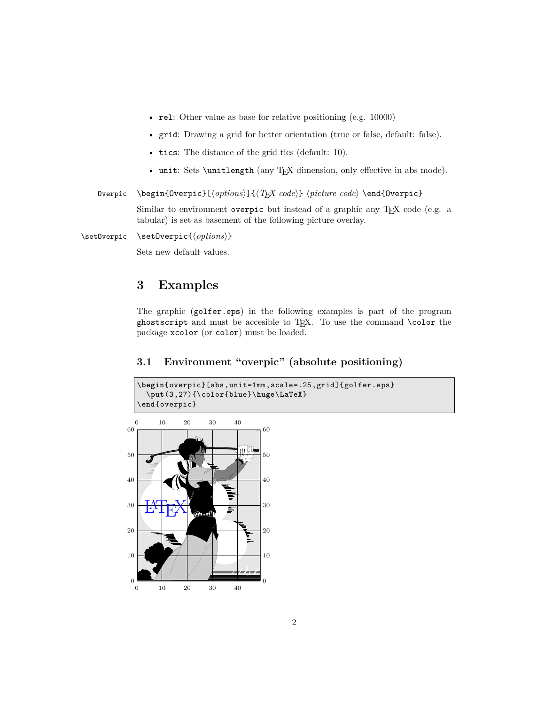- rel: Other value as base for relative positioning (e.g. 10000)
- grid: Drawing a grid for better orientation (true or false, default: false).
- tics: The distance of the grid tics (default: 10).
- unit: Sets \unitlength (any TEX dimension, only effective in abs mode).

Overpic \begin{Overpic}[\*options*)]{\*TEX code*}} \picture code\\end{Overpic}

Similar to environment overpic but instead of a graphic any TEX code (e.g. a tabular) is set as basement of the following picture overlay.

\setOverpic \setOverpic{\*options*}}

Sets new default values.

### **3 Examples**

The graphic (golfer.eps) in the following examples is part of the program ghostscript and must be accesible to TEX. To use the command **\color** the package xcolor (or color) must be loaded.

### **3.1 Environment "overpic" (absolute positioning)**



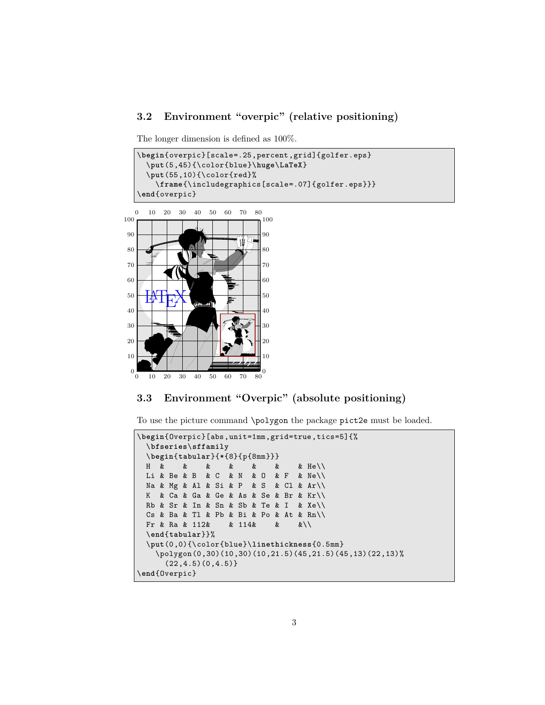#### **3.2 Environment "overpic" (relative positioning)**

The longer dimension is defined as 100%.

```
\begin{overpic}[scale=.25,percent ,grid]{golfer.eps}
  \put(5,45){\color{blue}\huge\LaTeX}
  \put(55,10){\color{red}%
    \frame{\includegraphics[scale=.07]{golfer.eps}}}
\end{overpic}
```


### **3.3 Environment "Overpic" (absolute positioning)**

To use the picture command \polygon the package pict2e must be loaded.

```
\begin{Overpic}[abs,unit=1mm,grid=true,tics=5]{%
 \bfseries\sffamily
 \begin{tabular}{*{8}{p{8mm}}}
 H & & & & & & & He\\
 Li & Be & B & C & N & O & F & Ne\\
 Na & Mg & Al & Si & P & S & Cl & Ar\\
 K & Ca & Ga & Ge & As & Se & Br & Kr\\
 Rb & Sr & In & Sn & Sb & Te & I & Xe\\
 Cs & Ba & Tl & Pb & Bi & Po & At & Rn\setminusFr & Ra & 112& & 114& & &\\
 \end{tabular}}%
 \put(0,0){\color{blue}\linethickness{0.5mm}
   \polygon(0,30)(10,30)(10,21.5)(45,21.5)(45,13)(22,13)%
     (22,4.5)(0,4.5)}
\end{Overpic}
```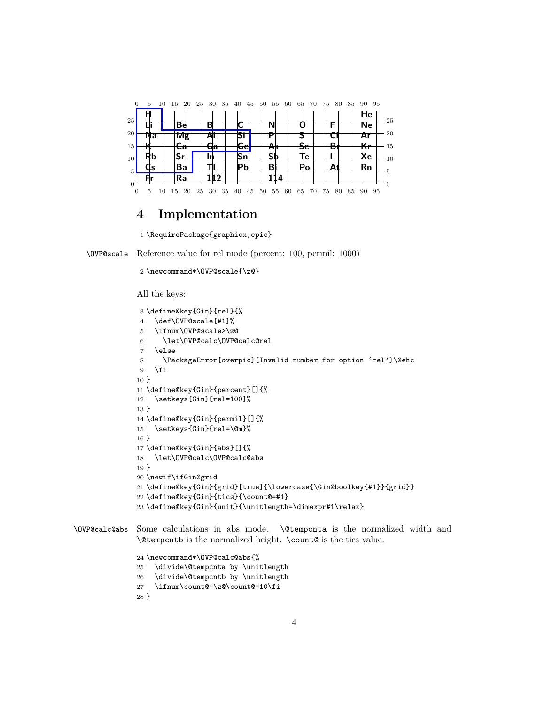

## **4 Implementation**

```
1 \RequirePackage{graphicx,epic}
```
\OVP@scale Reference value for rel mode (percent: 100, permil: 1000)

```
2 \newcommand*\OVP@scale{\z@}
```
All the keys:

```
3 \define@key{Gin}{rel}{%
4 \def\OVP@scale{#1}%
5 \ifnum\OVP@scale>\z@
6 \let\OVP@calc\OVP@calc@rel
7 \else
8 \PackageError{overpic}{Invalid number for option 'rel'}\@ehc
9 \mid \text{fi}10 }
11 \define@key{Gin}{percent}[]{%
12 \setkeys{Gin}{rel=100}%
13 }
14 \define@key{Gin}{permil}[]{%
15 \setkeys{Gin}{rel=\@m}%
16 }
17 \define@key{Gin}{abs}[]{%
18 \let\OVP@calc\OVP@calc@abs
19 }
20 \newif\ifGin@grid
21 \define@key{Gin}{grid}[true]{\lowercase{\Gin@boolkey{#1}}{grid}}
22 \define@key{Gin}{tics}{\count@=#1}
23 \define@key{Gin}{unit}{\unitlength='ddimexpr#1\relax}
```
\OVP@calc@abs Some calculations in abs mode. \@tempcnta is the normalized width and \@tempcntb is the normalized height. \count@ is the tics value.

> \newcommand\*\OVP@calc@abs{% \divide\@tempcnta by \unitlength \divide\@tempcntb by \unitlength \ifnum\count@=\z@\count@=10\fi }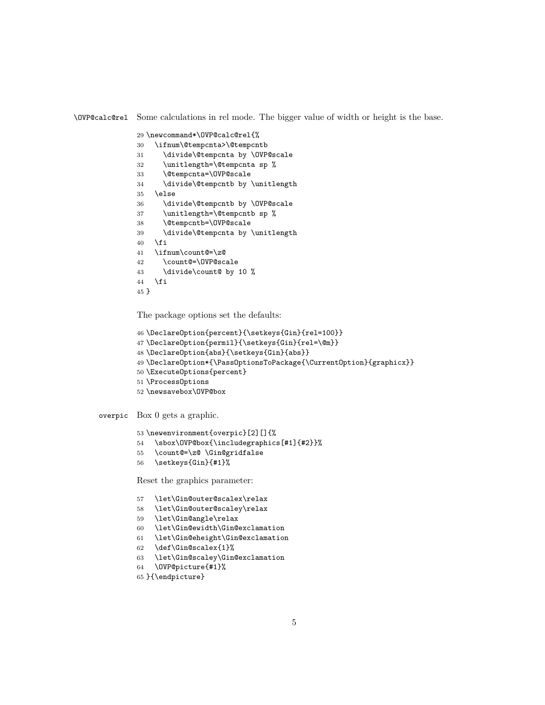\OVP@calc@rel Some calculations in rel mode. The bigger value of width or height is the base.

```
29 \newcommand*\OVP@calc@rel{%
30 \ifnum\@tempcnta>\@tempcntb
```
- \divide\@tempcnta by \OVP@scale
- \unitlength=\@tempcnta sp %
- \@tempcnta=\OVP@scale
- \divide\@tempcntb by \unitlength
- \else
- \divide\@tempcntb by \OVP@scale
- \unitlength=\@tempcntb sp %
- \@tempcntb=\OVP@scale
- \divide\@tempcnta by \unitlength
- \fi
- \ifnum\count@=\z@
- \count@=\OVP@scale
- \divide\count@ by 10 % \fi
- }

The package options set the defaults:

```
46 \DeclareOption{percent}{\setkeys{Gin}{rel=100}}
```
- \DeclareOption{permil}{\setkeys{Gin}{rel=\@m}}
- \DeclareOption{abs}{\setkeys{Gin}{abs}}
- \DeclareOption\*{\PassOptionsToPackage{\CurrentOption}{graphicx}}
- \ExecuteOptions{percent}
- \ProcessOptions
- \newsavebox\OVP@box

overpic Box 0 gets a graphic.

```
53 \newenvironment{overpic}[2][]{%
```
- \sbox\OVP@box{\includegraphics[#1]{#2}}%
- \count@=\z@ \Gin@gridfalse
- \setkeys{Gin}{#1}%

Reset the graphics parameter:

- \let\Gin@outer@scalex\relax
- \let\Gin@outer@scaley\relax
- \let\Gin@angle\relax
- \let\Gin@ewidth\Gin@exclamation
- \let\Gin@eheight\Gin@exclamation
- \def\Gin@scalex{1}%
- \let\Gin@scaley\Gin@exclamation
- \OVP@picture{#1}%
- }{\endpicture}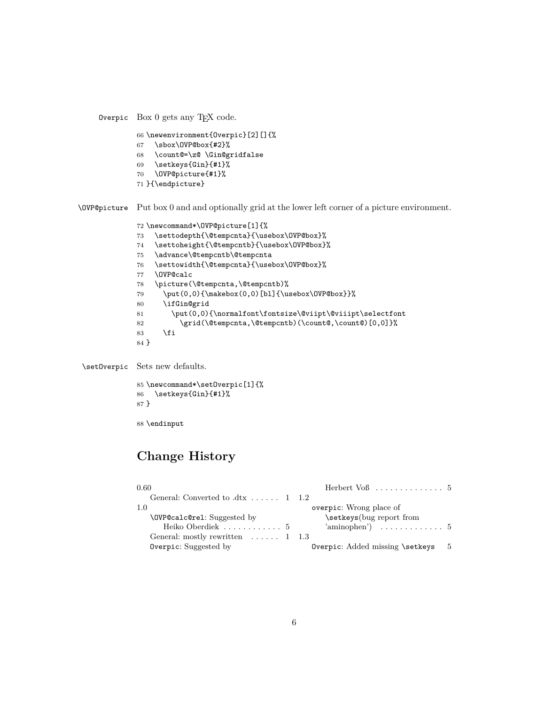Overpic Box 0 gets any TEX code.

- 66 \newenvironment{Overpic}[2][]{%
- 67 \sbox\OVP@box{#2}%
- 68 \count@=\z@ \Gin@gridfalse
- 69 \setkeys{Gin}{#1}%
- 70 \OVP@picture{#1}%
- 71 }{\endpicture}

\OVP@picture Put box 0 and and optionally grid at the lower left corner of a picture environment.

```
72 \newcommand*\OVP@picture[1]{%
73 \settodepth{\@tempcnta}{\usebox\OVP@box}%
74 \settoheight{\@tempcntb}{\usebox\OVP@box}%
75 \advance\@tempcntb\@tempcnta
76 \settowidth{\@tempcnta}{\usebox\OVP@box}%
77 \OVP@calc
78 \picture(\@tempcnta,\@tempcntb)%
79 \put(0,0){\makebox(0,0)[bl]{\usebox\OVP@box}}%
80 \ifGin@grid
81 \put(0,0){\normalfont\fontsize\@viipt\@viiipt\selectfont
82 \grid(\@tempcnta,\@tempcntb)(\count@,\count@)[0,0]}%
83 \setminusfi
84 }
```
\setOverpic Sets new defaults.

```
85 \newcommand*\setOverpic[1]{%
86 \setkeys{Gin}{#1}%
87 }
```
88 \endinput

# **Change History**

| 0.60                                                       | Herbert $\text{Vol}$ 5          |     |
|------------------------------------------------------------|---------------------------------|-----|
| General: Converted to $\text{.}dx$ $\ldots$ $\ldots$ 1 1.2 |                                 |     |
| -1.0                                                       | overpic: Wrong place of         |     |
| \OVP@calc@rel: Suggested by                                | \setkeys(bug report from        |     |
| Heiko Oberdiek  5                                          |                                 |     |
| General: mostly rewritten $\dots$ 1 1.3                    |                                 |     |
| Overpic: Suggested by                                      | Overpic: Added missing \setkeys | - 5 |
|                                                            |                                 |     |